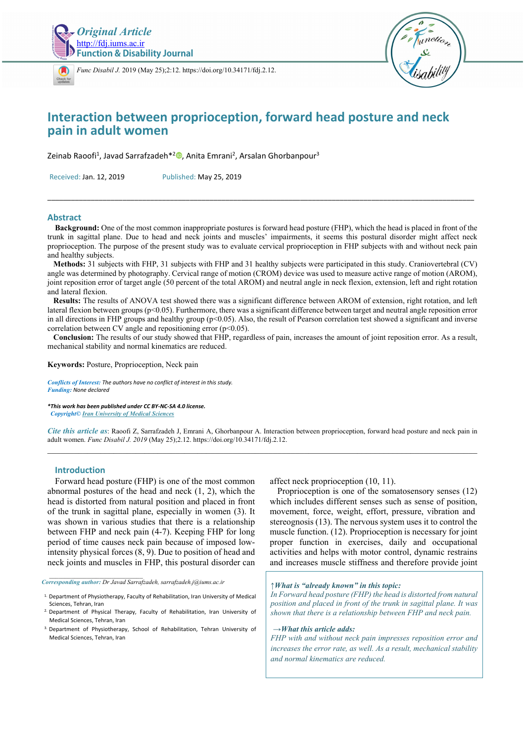

*[Func D](https://crossmark.crossref.org/dialog/?doi=10.34171/fdj.2.12)isabil J.* 2019 (May 25);2:12. https://doi.org/10.34171/fdj.2.12.



# **Interaction between proprioception, forward head posture and neck pain in adult women**

Zeinab Raoofi<sup>1</sup>, Javad Sarrafzadeh<sup>\*[2](https://orcid.org/0000-0002-0686-2854)</sup><sup>®</sup>, Anita Emrani<sup>2</sup>, Arsalan Ghorbanpour<sup>3</sup>

Received: Jan. 12, 2019 Published: May 25, 2019

## **Abstract**

 **Background:** One of the most common inappropriate postures is forward head posture (FHP), which the head is placed in front of the trunk in sagittal plane. Due to head and neck joints and muscles' impairments, it seems this postural disorder might affect neck proprioception. The purpose of the present study was to evaluate cervical proprioception in FHP subjects with and without neck pain and healthy subjects.

\_\_\_\_\_\_\_\_\_\_\_\_\_\_\_\_\_\_\_\_\_\_\_\_\_\_\_\_\_\_\_\_\_\_\_\_\_\_\_\_\_\_\_\_\_\_\_\_\_\_\_\_\_\_\_\_\_\_\_\_\_\_\_\_\_\_\_\_\_\_\_\_\_\_\_\_\_\_\_\_\_\_\_\_\_\_\_\_\_\_\_\_\_\_\_\_\_\_\_\_\_\_\_\_\_\_\_\_

 **Methods:** 31 subjects with FHP, 31 subjects with FHP and 31 healthy subjects were participated in this study. Craniovertebral (CV) angle was determined by photography. Cervical range of motion (CROM) device was used to measure active range of motion (AROM), joint reposition error of target angle (50 percent of the total AROM) and neutral angle in neck flexion, extension, left and right rotation and lateral flexion.

 **Results:** The results of ANOVA test showed there was a significant difference between AROM of extension, right rotation, and left lateral flexion between groups  $(p<0.05)$ . Furthermore, there was a significant difference between target and neutral angle reposition error in all directions in FHP groups and healthy group ( $p<0.05$ ). Also, the result of Pearson correlation test showed a significant and inverse correlation between CV angle and repositioning error  $(p<0.05)$ .

 **Conclusion:** The results of our study showed that FHP, regardless of pain, increases the amount of joint reposition error. As a result, mechanical stability and normal kinematics are reduced.

**Keywords:** Posture, Proprioception, Neck pain

*Conflicts of Interest: The authors have no conflict of interest in this study. Funding: None declared* 

*\*This work has been published under CC BY-NC-SA 4.0 license. Copyright© Iran University of Medical Sciences* 

*Cite this article as*: Raoofi Z, Sarrafzadeh J, Emrani A, Ghorbanpour A. Interaction between proprioception, forward head posture and neck pain in adult women. *Func Disabil J. 2019* (May 25);2.12. https://doi.org/10.34171/fdj.2.12.  $\_$  , and the state of the state of the state of the state of the state of the state of the state of the state of the state of the state of the state of the state of the state of the state of the state of the state of the

## **Introduction**

*\_\_\_\_\_\_\_\_\_\_\_\_\_\_\_\_\_\_\_\_\_\_\_\_\_\_\_\_\_\_* 

Forward head posture (FHP) is one of the most common abnormal postures of the head and neck (1, 2), which the head is distorted from natural position and placed in front of the trunk in sagittal plane, especially in women (3). It was shown in various studies that there is a relationship between FHP and neck pain (4-7). Keeping FHP for long period of time causes neck pain because of imposed lowintensity physical forces (8, 9). Due to position of head and neck joints and muscles in FHP, this postural disorder can

*Corresponding author: Dr Javad Sarrafzadeh, sarrafzadeh.j@iums.ac.ir* 

affect neck proprioception (10, 11).

Proprioception is one of the somatosensory senses (12) which includes different senses such as sense of position, movement, force, weight, effort, pressure, vibration and stereognosis (13). The nervous system uses it to control the muscle function. (12). Proprioception is necessary for joint proper function in exercises, daily and occupational activities and helps with motor control, dynamic restrains and increases muscle stiffness and therefore provide joint

*↑What is "already known" in this topic:* 

*In Forward head posture (FHP) the head is distorted from natural position and placed in front of the trunk in sagittal plane. It was shown that there is a relationship between FHP and neck pain.* 

#### *→What this article adds:*

*FHP with and without neck pain impresses reposition error and increases the error rate, as well. As a result, mechanical stability and normal kinematics are reduced.* 

<sup>1.</sup> Department of Physiotherapy, Faculty of Rehabilitation, Iran University of Medical Sciences, Tehran, Iran

<sup>2.</sup> Department of Physical Therapy, Faculty of Rehabilitation, Iran University of Medical Sciences, Tehran, Iran

<sup>3.</sup> Department of Physiotherapy, School of Rehabilitation, Tehran University of Medical Sciences, Tehran, Iran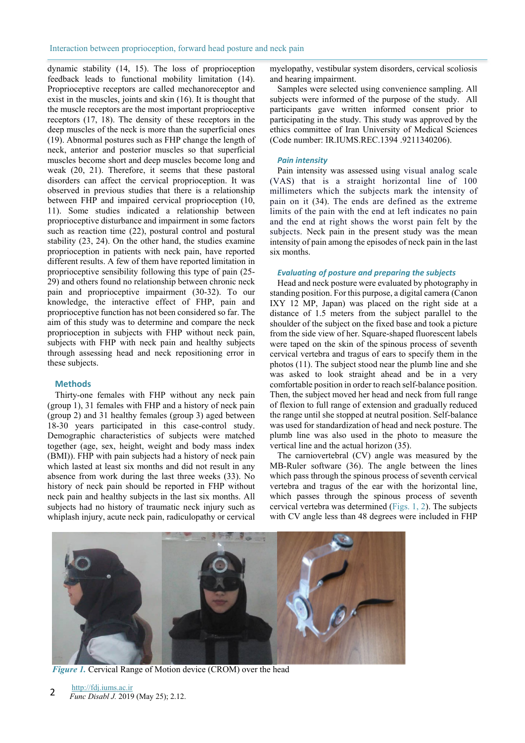dynamic stability (14, 15). The loss of proprioception feedback leads to functional mobility limitation (14). Proprioceptive receptors are called mechanoreceptor and exist in the muscles, joints and skin (16). It is thought that the muscle receptors are the most important proprioceptive receptors (17, 18). The density of these receptors in the deep muscles of the neck is more than the superficial ones (19). Abnormal postures such as FHP change the length of neck, anterior and posterior muscles so that superficial muscles become short and deep muscles become long and weak (20, 21). Therefore, it seems that these pastoral disorders can affect the cervical proprioception. It was observed in previous studies that there is a relationship between FHP and impaired cervical proprioception (10, 11). Some studies indicated a relationship between proprioceptive disturbance and impairment in some factors such as reaction time (22), postural control and postural stability (23, 24). On the other hand, the studies examine proprioception in patients with neck pain, have reported different results. A few of them have reported limitation in proprioceptive sensibility following this type of pain (25- 29) and others found no relationship between chronic neck pain and proprioceptive impairment (30-32). To our knowledge, the interactive effect of FHP, pain and proprioceptive function has not been considered so far. The aim of this study was to determine and compare the neck proprioception in subjects with FHP without neck pain, subjects with FHP with neck pain and healthy subjects through assessing head and neck repositioning error in these subjects.

## **Methods**

Thirty-one females with FHP without any neck pain (group 1), 31 females with FHP and a history of neck pain (group 2) and 31 healthy females (group 3) aged between 18-30 years participated in this case-control study. Demographic characteristics of subjects were matched together (age, sex, height, weight and body mass index (BMI)). FHP with pain subjects had a history of neck pain which lasted at least six months and did not result in any absence from work during the last three weeks (33). No history of neck pain should be reported in FHP without neck pain and healthy subjects in the last six months. All subjects had no history of traumatic neck injury such as whiplash injury, acute neck pain, radiculopathy or cervical

myelopathy, vestibular system disorders, cervical scoliosis and hearing impairment.

Samples were selected using convenience sampling. All subjects were informed of the purpose of the study. All participants gave written informed consent prior to participating in the study. This study was approved by the ethics committee of Iran University of Medical Sciences (Code number: IR.IUMS.REC.1394 .9211340206).

#### *Pain intensity*

Pain intensity was assessed using visual analog scale (VAS) that is a straight horizontal line of 100 millimeters which the subjects mark the intensity of pain on it (34). The ends are defined as the extreme limits of the pain with the end at left indicates no pain and the end at right shows the worst pain felt by the subjects. Neck pain in the present study was the mean intensity of pain among the episodes of neck pain in the last six months.

### *Evaluating of posture and preparing the subjects*

Head and neck posture were evaluated by photography in standing position. For this purpose, a digital camera (Canon IXY 12 MP, Japan) was placed on the right side at a distance of 1.5 meters from the subject parallel to the shoulder of the subject on the fixed base and took a picture from the side view of her. Square-shaped fluorescent labels were taped on the skin of the spinous process of seventh cervical vertebra and tragus of ears to specify them in the photos (11). The subject stood near the plumb line and she was asked to look straight ahead and be in a very comfortable position in order to reach self-balance position. Then, the subject moved her head and neck from full range of flexion to full range of extension and gradually reduced the range until she stopped at neutral position. Self-balance was used for standardization of head and neck posture. The plumb line was also used in the photo to measure the vertical line and the actual horizon (35).

The carniovertebral (CV) angle was measured by the MB-Ruler software (36). The angle between the lines which pass through the spinous process of seventh cervical vertebra and tragus of the ear with the horizontal line, which passes through the spinous process of seventh cervical vertebra was determined (Figs. 1, 2). The subjects with CV angle less than 48 degrees were included in FHP



*Figure 1.* Cervical Range of Motion device (CROM) over the head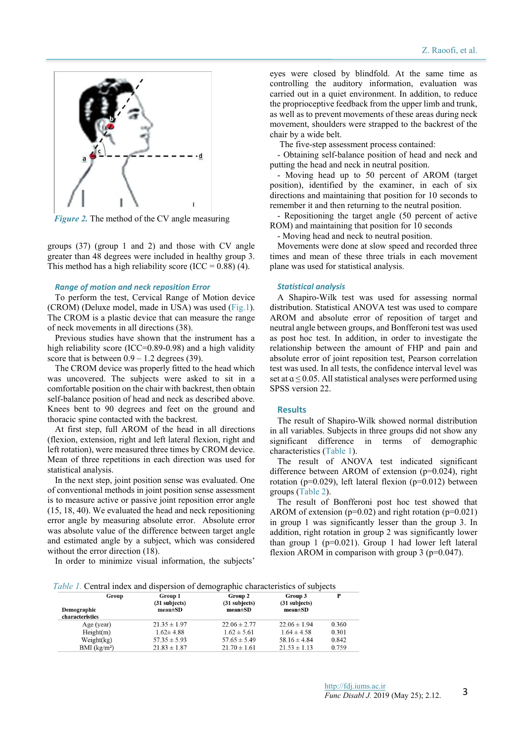

*Figure 2.* The method of the CV angle measuring

groups (37) (group 1 and 2) and those with CV angle greater than 48 degrees were included in healthy group 3. This method has a high reliability score (ICC =  $0.88$ ) (4).

#### *Range of motion and neck reposition Error*

To perform the test, Cervical Range of Motion device (CROM) (Deluxe model, made in USA) was used (Fig.1). The CROM is a plastic device that can measure the range of neck movements in all directions (38).

Previous studies have shown that the instrument has a high reliability score (ICC=0.89-0.98) and a high validity score that is between  $0.9 - 1.2$  degrees (39).

The CROM device was properly fitted to the head which was uncovered. The subjects were asked to sit in a comfortable position on the chair with backrest, then obtain self-balance position of head and neck as described above. Knees bent to 90 degrees and feet on the ground and thoracic spine contacted with the backrest.

At first step, full AROM of the head in all directions (flexion, extension, right and left lateral flexion, right and left rotation), were measured three times by CROM device. Mean of three repetitions in each direction was used for statistical analysis.

In the next step, joint position sense was evaluated. One of conventional methods in joint position sense assessment is to measure active or passive joint reposition error angle (15, 18, 40). We evaluated the head and neck repositioning error angle by measuring absolute error. Absolute error was absolute value of the difference between target angle and estimated angle by a subject, which was considered without the error direction (18).

In order to minimize visual information, the subjects'

eyes were closed by blindfold. At the same time as controlling the auditory information, evaluation was carried out in a quiet environment. In addition, to reduce the proprioceptive feedback from the upper limb and trunk, as well as to prevent movements of these areas during neck movement, shoulders were strapped to the backrest of the chair by a wide belt.

The five-step assessment process contained:

- Obtaining self-balance position of head and neck and putting the head and neck in neutral position.

- Moving head up to 50 percent of AROM (target position), identified by the examiner, in each of six directions and maintaining that position for 10 seconds to remember it and then returning to the neutral position.

- Repositioning the target angle (50 percent of active ROM) and maintaining that position for 10 seconds

- Moving head and neck to neutral position.

Movements were done at slow speed and recorded three times and mean of these three trials in each movement plane was used for statistical analysis.

#### *Statistical analysis*

A Shapiro-Wilk test was used for assessing normal distribution. Statistical ANOVA test was used to compare AROM and absolute error of reposition of target and neutral angle between groups, and Bonfferoni test was used as post hoc test. In addition, in order to investigate the relationship between the amount of FHP and pain and absolute error of joint reposition test, Pearson correlation test was used. In all tests, the confidence interval level was set at  $a \le 0.05$ . All statistical analyses were performed using SPSS version 22.

#### **Results**

The result of Shapiro-Wilk showed normal distribution in all variables. Subjects in three groups did not show any significant difference in terms of demographic characteristics (Table 1).

The result of ANOVA test indicated significant difference between AROM of extension (p=0.024), right rotation ( $p=0.029$ ), left lateral flexion ( $p=0.012$ ) between groups (Table 2).

The result of Bonfferoni post hoc test showed that AROM of extension ( $p=0.02$ ) and right rotation ( $p=0.021$ ) in group 1 was significantly lesser than the group 3. In addition, right rotation in group 2 was significantly lower than group 1 ( $p=0.021$ ). Group 1 had lower left lateral flexion AROM in comparison with group  $3$  ( $p=0.047$ ).

*Table 1.* Central index and dispersion of demographic characteristics of subjects

| Group<br>Demographic<br>characteristics | Group 1<br>$(31$ subjects)<br>$mean \pm SD$ | Group 2<br>$(31$ subjects)<br>$mean \pm SD$ | Group 3<br>$(31$ subjects)<br>$mean \pm SD$ | P     |
|-----------------------------------------|---------------------------------------------|---------------------------------------------|---------------------------------------------|-------|
| Age (year)                              | $21.35 \pm 1.97$                            | $22.06 \pm 2.77$                            | $22.06 \pm 1.94$                            | 0.360 |
| Height(m)                               | $1.62 \pm 4.88$                             | $1.62 \pm 5.61$                             | $1.64 \pm 4.58$                             | 0.301 |
| Weight(kg)                              | $57.35 \pm 5.93$                            | $57.65 \pm 5.49$                            | $58.16 \pm 4.84$                            | 0.842 |
| BMI (kg/m <sup>2</sup> )                | $21.83 \pm 1.87$                            | $21.70 \pm 1.61$                            | $21.53 \pm 1.13$                            | 0.759 |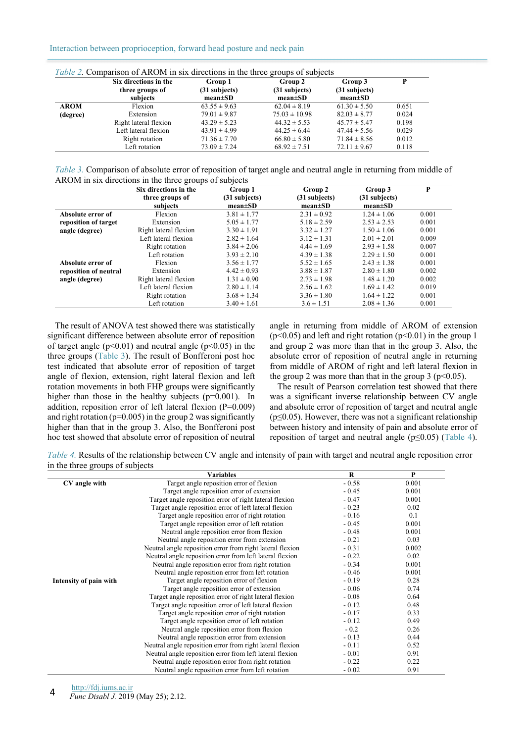## Interaction between proprioception, forward head posture and neck pain

| <i>Table 2.</i> Comparison of AROM in six directions in the three groups of subjects |                       |                                  |                                |                                |       |
|--------------------------------------------------------------------------------------|-----------------------|----------------------------------|--------------------------------|--------------------------------|-------|
|                                                                                      | Six directions in the | Group 1                          | Group 2                        | Group 3                        | P     |
|                                                                                      | three groups of       | $(31$ subjects)<br>$mean \pm SD$ | (31 subjects)<br>$mean \pm SD$ | (31 subjects)<br>$mean \pm SD$ |       |
|                                                                                      | subjects              |                                  |                                |                                |       |
| <b>AROM</b>                                                                          | Flexion               | $63.55 \pm 9.63$                 | $62.04 \pm 8.19$               | $61.30 \pm 5.50$               | 0.651 |
| (degree)                                                                             | Extension             | $79.01 \pm 9.87$                 | $75.03 \pm 10.98$              | $82.03 \pm 8.77$               | 0.024 |
|                                                                                      | Right lateral flexion | $43.29 \pm 5.23$                 | $44.32 \pm 5.53$               | $45.77 \pm 5.47$               | 0.198 |
|                                                                                      | Left lateral flexion  | $43.91 \pm 4.99$                 | $44.25 \pm 6.44$               | $47.44 \pm 5.56$               | 0.029 |
|                                                                                      | Right rotation        | $71.36 \pm 7.70$                 | $66.80 \pm 5.80$               | $71.84 \pm 8.56$               | 0.012 |
|                                                                                      | Left rotation         | $73.09 \pm 7.24$                 | $68.92 \pm 7.51$               | $72.11 \pm 9.67$               | 0.118 |

| Table 3. Comparison of absolute error of reposition of target angle and neutral angle in returning from middle of |  |  |
|-------------------------------------------------------------------------------------------------------------------|--|--|
| AROM in six directions in the three groups of subjects                                                            |  |  |

|                       | Six directions in the | Group 1         | Group 2         | Group 3         | P     |
|-----------------------|-----------------------|-----------------|-----------------|-----------------|-------|
|                       | three groups of       | $(31$ subjects) | (31 subjects)   | (31 subjects)   |       |
|                       | subjects              | $mean \pm SD$   | $mean \pm SD$   | $mean \pm SD$   |       |
| Absolute error of     | Flexion               | $3.81 \pm 1.77$ | $2.31 \pm 0.92$ | $1.24 \pm 1.06$ | 0.001 |
| reposition of target  | Extension             | $5.05 \pm 1.77$ | $5.18 \pm 2.59$ | $2.53 \pm 2.53$ | 0.001 |
| angle (degree)        | Right lateral flexion | $3.30 \pm 1.91$ | $3.32 \pm 1.27$ | $1.50 \pm 1.06$ | 0.001 |
|                       | Left lateral flexion  | $2.82 \pm 1.64$ | $3.12 \pm 1.31$ | $2.01 \pm 2.01$ | 0.009 |
|                       | Right rotation        | $3.84 \pm 2.06$ | $4.44 \pm 1.69$ | $2.93 \pm 1.58$ | 0.007 |
|                       | Left rotation         | $3.93 \pm 2.10$ | $4.39 \pm 1.38$ | $2.29 \pm 1.50$ | 0.001 |
| Absolute error of     | Flexion               | $3.56 \pm 1.77$ | $5.52 \pm 1.65$ | $2.43 \pm 1.38$ | 0.001 |
| reposition of neutral | Extension             | $4.42 \pm 0.93$ | $3.88 \pm 1.87$ | $2.80 \pm 1.80$ | 0.002 |
| angle (degree)        | Right lateral flexion | $1.31 \pm 0.90$ | $2.73 \pm 1.98$ | $1.48 \pm 1.20$ | 0.002 |
|                       | Left lateral flexion  | $2.80 \pm 1.14$ | $2.56 \pm 1.62$ | $1.69 \pm 1.42$ | 0.019 |
|                       | Right rotation        | $3.68 \pm 1.34$ | $3.36 \pm 1.80$ | $1.64 \pm 1.22$ | 0.001 |
|                       | Left rotation         | $3.40 \pm 1.61$ | $3.6 \pm 1.51$  | $2.08 \pm 1.36$ | 0.001 |

The result of ANOVA test showed there was statistically significant difference between absolute error of reposition of target angle  $(p<0.01)$  and neutral angle  $(p<0.05)$  in the three groups (Table 3). The result of Bonfferoni post hoc test indicated that absolute error of reposition of target angle of flexion, extension, right lateral flexion and left rotation movements in both FHP groups were significantly higher than those in the healthy subjects (p=0.001). In addition, reposition error of left lateral flexion (P=0.009) and right rotation ( $p=0.005$ ) in the group 2 was significantly higher than that in the group 3. Also, the Bonfferoni post hoc test showed that absolute error of reposition of neutral

angle in returning from middle of AROM of extension  $(p<0.05)$  and left and right rotation  $(p<0.01)$  in the group 1 and group 2 was more than that in the group 3. Also, the absolute error of reposition of neutral angle in returning from middle of AROM of right and left lateral flexion in the group 2 was more than that in the group 3 ( $p<0.05$ ).

The result of Pearson correlation test showed that there was a significant inverse relationship between CV angle and absolute error of reposition of target and neutral angle ( $p \leq 0.05$ ). However, there was not a significant relationship between history and intensity of pain and absolute error of reposition of target and neutral angle (p≤0.05) (Table 4).

*Table 4.* Results of the relationship between CV angle and intensity of pain with target and neutral angle reposition error in the three groups of subjects

|                        | <b>Variables</b>                                          | R       | P     |
|------------------------|-----------------------------------------------------------|---------|-------|
| CV angle with          | Target angle reposition error of flexion                  | $-0.58$ | 0.001 |
|                        | Target angle reposition error of extension                | $-0.45$ | 0.001 |
|                        | Target angle reposition error of right lateral flexion    | $-0.47$ | 0.001 |
|                        | Target angle reposition error of left lateral flexion     | $-0.23$ | 0.02  |
|                        | Target angle reposition error of right rotation           | $-0.16$ | 0.1   |
|                        | Target angle reposition error of left rotation            | $-0.45$ | 0.001 |
|                        | Neutral angle reposition error from flexion               | $-0.48$ | 0.001 |
|                        | Neutral angle reposition error from extension             | $-0.21$ | 0.03  |
|                        | Neutral angle reposition error from right lateral flexion | $-0.31$ | 0.002 |
|                        | Neutral angle reposition error from left lateral flexion  | $-0.22$ | 0.02  |
|                        | Neutral angle reposition error from right rotation        | $-0.34$ | 0.001 |
|                        | Neutral angle reposition error from left rotation         | $-0.46$ | 0.001 |
| Intensity of pain with | Target angle reposition error of flexion                  | $-0.19$ | 0.28  |
|                        | Target angle reposition error of extension                | $-0.06$ | 0.74  |
|                        | Target angle reposition error of right lateral flexion    | $-0.08$ | 0.64  |
|                        | Target angle reposition error of left lateral flexion     | $-0.12$ | 0.48  |
|                        | Target angle reposition error of right rotation           | $-0.17$ | 0.33  |
|                        | Target angle reposition error of left rotation            | $-0.12$ | 0.49  |
|                        | Neutral angle reposition error from flexion               | $-0.2$  | 0.26  |
|                        | Neutral angle reposition error from extension             | $-0.13$ | 0.44  |
|                        | Neutral angle reposition error from right lateral flexion | $-0.11$ | 0.52  |
|                        | Neutral angle reposition error from left lateral flexion  | $-0.01$ | 0.91  |
|                        | Neutral angle reposition error from right rotation        | $-0.22$ | 0.22  |
|                        | Neutral angle reposition error from left rotation         | $-0.02$ | 0.91  |

http://fdj.iums.ac.ir

*Func Disabl J.* 2019 (May 25); 2.12. 4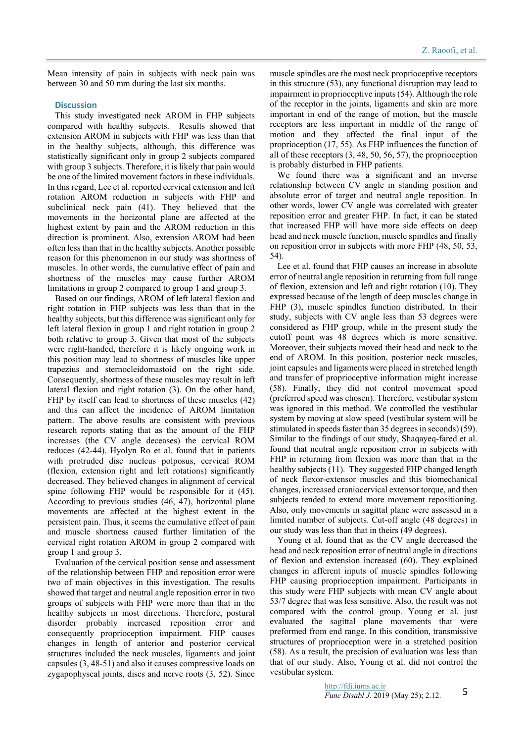Mean intensity of pain in subjects with neck pain was between 30 and 50 mm during the last six months.

### **Discussion**

This study investigated neck AROM in FHP subjects compared with healthy subjects. Results showed that extension AROM in subjects with FHP was less than that in the healthy subjects, although, this difference was statistically significant only in group 2 subjects compared with group 3 subjects. Therefore, it is likely that pain would be one of the limited movement factors in these individuals. In this regard, Lee et al. reported cervical extension and left rotation AROM reduction in subjects with FHP and subclinical neck pain (41). They believed that the movements in the horizontal plane are affected at the highest extent by pain and the AROM reduction in this direction is prominent. Also, extension AROM had been often less than that in the healthy subjects. Another possible reason for this phenomenon in our study was shortness of muscles. In other words, the cumulative effect of pain and shortness of the muscles may cause further AROM limitations in group 2 compared to group 1 and group 3.

Based on our findings, AROM of left lateral flexion and right rotation in FHP subjects was less than that in the healthy subjects, but this difference was significant only for left lateral flexion in group 1 and right rotation in group 2 both relative to group 3. Given that most of the subjects were right-handed, therefore it is likely ongoing work in this position may lead to shortness of muscles like upper trapezius and sternocleidomastoid on the right side. Consequently, shortness of these muscles may result in left lateral flexion and right rotation (3). On the other hand, FHP by itself can lead to shortness of these muscles (42) and this can affect the incidence of AROM limitation pattern. The above results are consistent with previous research reports stating that as the amount of the FHP increases (the CV angle deceases) the cervical ROM reduces (42-44). Hyolyn Ro et al. found that in patients with protruded disc nucleus polposus, cervical ROM (flexion, extension right and left rotations) significantly decreased. They believed changes in alignment of cervical spine following FHP would be responsible for it (45). According to previous studies (46, 47), horizontal plane movements are affected at the highest extent in the persistent pain. Thus, it seems the cumulative effect of pain and muscle shortness caused further limitation of the cervical right rotation AROM in group 2 compared with group 1 and group 3.

Evaluation of the cervical position sense and assessment of the relationship between FHP and reposition error were two of main objectives in this investigation. The results showed that target and neutral angle reposition error in two groups of subjects with FHP were more than that in the healthy subjects in most directions. Therefore, postural disorder probably increased reposition error and consequently proprioception impairment. FHP causes changes in length of anterior and posterior cervical structures included the neck muscles, ligaments and joint capsules (3, 48-51) and also it causes compressive loads on zygapophyseal joints, discs and nerve roots (3, 52). Since

muscle spindles are the most neck proprioceptive receptors in this structure (53), any functional disruption may lead to impairment in proprioceptive inputs (54). Although the role of the receptor in the joints, ligaments and skin are more important in end of the range of motion, but the muscle receptors are less important in middle of the range of motion and they affected the final input of the proprioception (17, 55). As FHP influences the function of all of these receptors (3, 48, 50, 56, 57), the proprioception is probably disturbed in FHP patients.

We found there was a significant and an inverse relationship between CV angle in standing position and absolute error of target and neutral angle reposition. In other words, lower CV angle was correlated with greater reposition error and greater FHP. In fact, it can be stated that increased FHP will have more side effects on deep head and neck muscle function, muscle spindles and finally on reposition error in subjects with more FHP (48, 50, 53, 54).

Lee et al. found that FHP causes an increase in absolute error of neutral angle reposition in returning from full range of flexion, extension and left and right rotation (10). They expressed because of the length of deep muscles change in FHP (3), muscle spindles function distributed. In their study, subjects with CV angle less than 53 degrees were considered as FHP group, while in the present study the cutoff point was 48 degrees which is more sensitive. Moreover, their subjects moved their head and neck to the end of AROM. In this position, posterior neck muscles, joint capsules and ligaments were placed in stretched length and transfer of proprioceptive information might increase (58). Finally, they did not control movement speed (preferred speed was chosen). Therefore, vestibular system was ignored in this method. We controlled the vestibular system by moving at slow speed (vestibular system will be stimulated in speeds faster than 35 degrees in seconds) (59). Similar to the findings of our study, Shaqayeq-fared et al. found that neutral angle reposition error in subjects with FHP in returning from flexion was more than that in the healthy subjects (11). They suggested FHP changed length of neck flexor-extensor muscles and this biomechanical changes, increased craniocervical extensor torque, and then subjects tended to extend more movement repositioning. Also, only movements in sagittal plane were assessed in a limited number of subjects. Cut-off angle (48 degrees) in our study was less than that in theirs (49 degrees).

Young et al. found that as the CV angle decreased the head and neck reposition error of neutral angle in directions of flexion and extension increased (60). They explained changes in afferent inputs of muscle spindles following FHP causing proprioception impairment. Participants in this study were FHP subjects with mean CV angle about 53/7 degree that was less sensitive. Also, the result was not compared with the control group. Young et al. just evaluated the sagittal plane movements that were preformed from end range. In this condition, transmissive structures of proprioception were in a stretched position (58). As a result, the precision of evaluation was less than that of our study. Also, Young et al. did not control the vestibular system.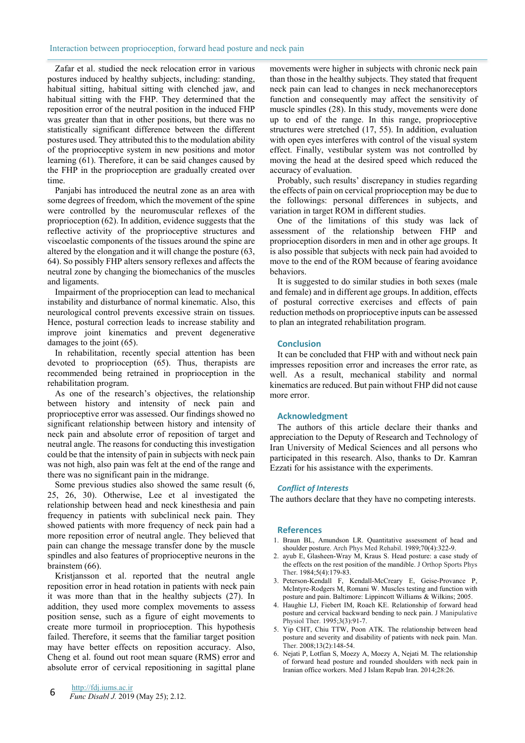Zafar et al. studied the neck relocation error in various postures induced by healthy subjects, including: standing, habitual sitting, habitual sitting with clenched jaw, and habitual sitting with the FHP. They determined that the reposition error of the neutral position in the induced FHP was greater than that in other positions, but there was no statistically significant difference between the different postures used. They attributed this to the modulation ability of the proprioceptive system in new positions and motor learning (61). Therefore, it can be said changes caused by the FHP in the proprioception are gradually created over time.

Panjabi has introduced the neutral zone as an area with some degrees of freedom, which the movement of the spine were controlled by the neuromuscular reflexes of the proprioception (62). In addition, evidence suggests that the reflective activity of the proprioceptive structures and viscoelastic components of the tissues around the spine are altered by the elongation and it will change the posture (63, 64). So possibly FHP alters sensory reflexes and affects the neutral zone by changing the biomechanics of the muscles and ligaments.

Impairment of the proprioception can lead to mechanical instability and disturbance of normal kinematic. Also, this neurological control prevents excessive strain on tissues. Hence, postural correction leads to increase stability and improve joint kinematics and prevent degenerative damages to the joint (65).

In rehabilitation, recently special attention has been devoted to proprioception (65). Thus, therapists are recommended being retrained in proprioception in the rehabilitation program.

As one of the research's objectives, the relationship between history and intensity of neck pain and proprioceptive error was assessed. Our findings showed no significant relationship between history and intensity of neck pain and absolute error of reposition of target and neutral angle. The reasons for conducting this investigation could be that the intensity of pain in subjects with neck pain was not high, also pain was felt at the end of the range and there was no significant pain in the midrange.

Some previous studies also showed the same result (6, 25, 26, 30). Otherwise, Lee et al investigated the relationship between head and neck kinesthesia and pain frequency in patients with subclinical neck pain. They showed patients with more frequency of neck pain had a more reposition error of neutral angle. They believed that pain can change the message transfer done by the muscle spindles and also features of proprioceptive neurons in the brainstem (66).

Kristjansson et al. reported that the neutral angle reposition error in head rotation in patients with neck pain it was more than that in the healthy subjects (27). In addition, they used more complex movements to assess position sense, such as a figure of eight movements to create more turmoil in proprioception. This hypothesis failed. Therefore, it seems that the familiar target position may have better effects on reposition accuracy. Also, Cheng et al. found out root mean square (RMS) error and absolute error of cervical repositioning in sagittal plane

movements were higher in subjects with chronic neck pain than those in the healthy subjects. They stated that frequent neck pain can lead to changes in neck mechanoreceptors function and consequently may affect the sensitivity of muscle spindles (28). In this study, movements were done up to end of the range. In this range, proprioceptive structures were stretched (17, 55). In addition, evaluation with open eyes interferes with control of the visual system effect. Finally, vestibular system was not controlled by moving the head at the desired speed which reduced the accuracy of evaluation.

Probably, such results' discrepancy in studies regarding the effects of pain on cervical proprioception may be due to the followings: personal differences in subjects, and variation in target ROM in different studies.

One of the limitations of this study was lack of assessment of the relationship between FHP and proprioception disorders in men and in other age groups. It is also possible that subjects with neck pain had avoided to move to the end of the ROM because of fearing avoidance behaviors.

It is suggested to do similar studies in both sexes (male and female) and in different age groups. In addition, effects of postural corrective exercises and effects of pain reduction methods on proprioceptive inputs can be assessed to plan an integrated rehabilitation program.

## **Conclusion**

It can be concluded that FHP with and without neck pain impresses reposition error and increases the error rate, as well. As a result, mechanical stability and normal kinematics are reduced. But pain without FHP did not cause more error.

## **Acknowledgment**

The authors of this article declare their thanks and appreciation to the Deputy of Research and Technology of Iran University of Medical Sciences and all persons who participated in this research. Also, thanks to Dr. Kamran Ezzati for his assistance with the experiments.

## *Conflict of Interests*

The authors declare that they have no competing interests.

## **References**

- 1. Braun BL, Amundson LR. Quantitative assessment of head and shoulder posture. Arch Phys Med Rehabil. 1989;70(4):322-9.
- 2. ayub E, Glasheen-Wray M, Kraus S. Head posture: a case study of the effects on the rest position of the mandible. J Orthop Sports Phys Ther. 1984;5(4):179-83.
- 3. Peterson-Kendall F, Kendall-McCreary E, Geise-Provance P, McIntyre-Rodgers M, Romani W. Muscles testing and function with posture and pain. Baltimore: Lippincott Williams & Wilkins; 2005.
- 4. Haughie LJ, Fiebert IM, Roach KE. Relationship of forward head posture and cervical backward bending to neck pain. J Manipulative Physiol Ther. 1995;3(3):91-7.
- 5. Yip CHT, Chiu TTW, Poon ATK. The relationship between head posture and severity and disability of patients with neck pain. Man. Ther. 2008;13(2):148-54.
- 6. Nejati P, Lotfian S, Moezy A, Moezy A, Nejati M. The relationship of forward head posture and rounded shoulders with neck pain in Iranian office workers. Med J Islam Repub Iran. 2014;28:26.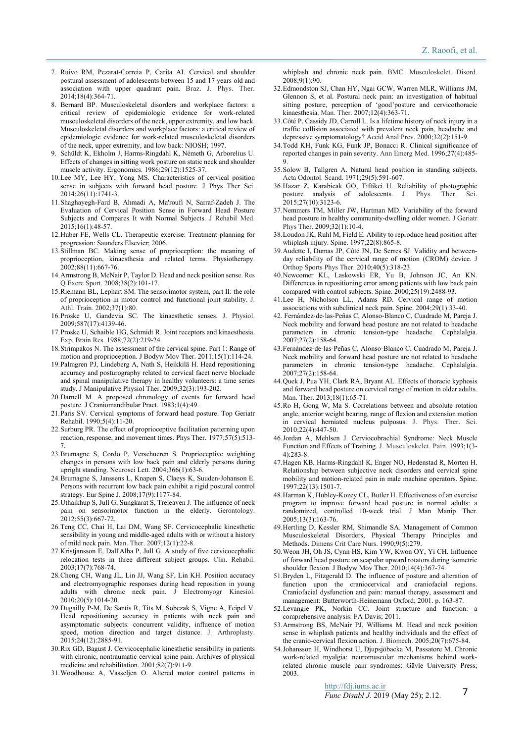- 7. Ruivo RM, Pezarat-Correia P, Carita AI. Cervical and shoulder postural assessment of adolescents between 15 and 17 years old and association with upper quadrant pain. Braz. J. Phys. Ther. 2014;18(4):364-71.
- 8. Bernard BP. Musculoskeletal disorders and workplace factors: a critical review of epidemiologic evidence for work-related musculoskeletal disorders of the neck, upper extremity, and low back. Musculoskeletal disorders and workplace factors: a critical review of epidemiologic evidence for work-related musculoskeletal disorders of the neck, upper extremity, and low back: NIOSH; 1997.
- 9. Schüldt K, Ekholm J, Harms-Ringdahl K, Németh G, Arborelius U. Effects of changes in sitting work posture on static neck and shoulder muscle activity. Ergonomics. 1986;29(12):1525-37.
- 10. Lee MY, Lee HY, Yong MS. Characteristics of cervical position sense in subjects with forward head posture. J Phys Ther Sci. 2014;26(11):1741-3.
- 11. Shaghayegh-Fard B, Ahmadi A, Ma'roufi N, Sarraf-Zadeh J. The Evaluation of Cervical Position Sense in Forward Head Posture Subjects and Compares It with Normal Subjects. J Rehabil Med. 2015;16(1):48-57.
- 12. Huber FE, Wells CL. Therapeutic exercise: Treatment planning for progression: Saunders Elsevier; 2006.
- 13. Stillman BC. Making sense of proprioception: the meaning of proprioception, kinaesthesia and related terms. Physiotherapy.  $2002:88(11):667-76.$
- 14. Armstrong B, McNair P, Taylor D. Head and neck position sense. Res Q Exerc Sport. 2008;38(2):101-17.
- 15. Riemann BL, Lephart SM. The sensorimotor system, part II: the role of proprioception in motor control and functional joint stability. J. Athl. Train. 2002;37(1):80.
- 16. Proske U, Gandevia SC. The kinaesthetic senses. J. Physiol. 2009;587(17):4139-46.
- 17. Proske U, Schaible HG, Schmidt R. Joint receptors and kinaesthesia. Exp. Brain Res. 1988;72(2):219-24.
- 18. Strimpakos N. The assessment of the cervical spine. Part 1: Range of motion and proprioception. J Bodyw Mov Ther. 2011;15(1):114-24.
- 19. Palmgren PJ, Lindeberg A, Nath S, Heikkilä H. Head repositioning accuracy and posturography related to cervical facet nerve blockade and spinal manipulative therapy in healthy volunteers: a time series study. J Manipulative Physiol Ther. 2009;32(3):193-202.
- 20. Darnell M. A proposed chronology of events for forward head posture. J Craniomandibular Pract. 1983;1(4):49.
- 21. Paris SV. Cervical symptoms of forward head posture. Top Geriatr Rehabil. 1990;5(4):11-20.
- 22. Surburg PR. The effect of proprioceptive facilitation patterning upon reaction, response, and movement times. Phys Ther. 1977;57(5):513-7.
- 23. Brumagne S, Cordo P, Verschueren S. Proprioceptive weighting changes in persons with low back pain and elderly persons during upright standing. Neurosci Lett. 2004;366(1):63-6.
- 24. Brumagne S, Janssens L, Knapen S, Claeys K, Suuden-Johanson E. Persons with recurrent low back pain exhibit a rigid postural control strategy. Eur Spine J. 2008;17(9):1177-84.
- 25. Uthaikhup S, Jull G, Sungkarat S, Treleaven J. The influence of neck pain on sensorimotor function in the elderly. Gerontology. 2012;55(3):667-72.
- 26. Teng CC, Chai H, Lai DM, Wang SF. Cervicocephalic kinesthetic sensibility in young and middle-aged adults with or without a history of mild neck pain. Man. Ther. 2007;12(1):22-8.
- 27. Kristjansson E, Dall'Alba P, Jull G. A study of five cervicocephalic relocation tests in three different subject groups. Clin. Rehabil. 2003;17(7):768-74.
- 28. Cheng CH, Wang JL, Lin JJ, Wang SF, Lin KH. Position accuracy and electromyographic responses during head reposition in young adults with chronic neck pain. J Electromyogr Kinesiol. 2010;20(5):1014-20.
- 29. Dugailly P-M, De Santis R, Tits M, Sobczak S, Vigne A, Feipel V. Head repositioning accuracy in patients with neck pain and asymptomatic subjects: concurrent validity, influence of motion speed, motion direction and target distance. J. Arthroplasty. 2015;24(12):2885-91.
- 30. Rix GD, Bagust J. Cervicocephalic kinesthetic sensibility in patients with chronic, nontraumatic cervical spine pain. Archives of physical medicine and rehabilitation. 2001;82(7):911-9.
- 31. Woodhouse A, Vasseljen O. Altered motor control patterns in

whiplash and chronic neck pain. BMC. Musculoskelet. Disord. 2008;9(1):90.

- 32. Edmondston SJ, Chan HY, Ngai GCW, Warren MLR, Williams JM, Glennon S, et al. Postural neck pain: an investigation of habitual sitting posture, perception of 'good'posture and cervicothoracic kinaesthesia. Man. Ther. 2007;12(4):363-71.
- 33. Côté P, Cassidy JD, Carroll L. Is a lifetime history of neck injury in a traffic collision associated with prevalent neck pain, headache and depressive symptomatology? Accid Anal Prev. 2000;32(2):151-9.
- 34. Todd KH, Funk KG, Funk JP, Bonacci R. Clinical significance of reported changes in pain severity. Ann Emerg Med. 1996;27(4):485- 9.
- 35. Solow B, Tallgren A. Natural head position in standing subjects. Acta Odontol. Scand. 1971;29(5):591-607.
- 36. Hazar Z, Karabicak GO, Tiftikci U. Reliability of photographic posture analysis of adolescents. J. Phys. Ther. Sci. 2015;27(10):3123-6.
- 37. Nemmers TM, Miller JW, Hartman MD. Variability of the forward head posture in healthy community-dwelling older women. J Geriatr Phys Ther. 2009;32(1):10-4.
- 38. Loudon JK, Ruhl M, Field E. Ability to reproduce head position after whiplash injury. Spine. 1997;22(8):865-8.
- 39. Audette I, Dumas JP, Côté JN, De Serres SJ. Validity and betweenday reliability of the cervical range of motion (CROM) device. J Orthop Sports Phys Ther. 2010;40(5):318-23.
- 40. Newcomer KL, Laskowski ER, Yu B, Johnson JC, An KN. Differences in repositioning error among patients with low back pain compared with control subjects. Spine. 2000;25(19):2488-93.
- 41. Lee H, Nicholson LL, Adams RD. Cervical range of motion associations with subclinical neck pain. Spine. 2004;29(1):33-40.
- 42. Fernández‐de‐las‐Peñas C, Alonso‐Blanco C, Cuadrado M, Pareja J. Neck mobility and forward head posture are not related to headache parameters in chronic tension-type headache. Cephalalgia. 2007;27(2):158-64.
- 43. Fernández‐de‐las‐Peñas C, Alonso‐Blanco C, Cuadrado M, Pareja J. Neck mobility and forward head posture are not related to headache parameters in chronic tension‐type headache. Cephalalgia. 2007;27(2):158-64.
- 44. Quek J, Pua YH, Clark RA, Bryant AL. Effects of thoracic kyphosis and forward head posture on cervical range of motion in older adults. Man. Ther. 2013;18(1):65-71.
- 45. Ro H, Gong W, Ma S. Correlations between and absolute rotation angle, anterior weight bearing, range of flexion and extension motion in cervical herniated nucleus pulposus. J. Phys. Ther. Sci. 2010;22(4):447-50.
- 46. Jordan A, Mehlsen J. Cerviocobrachial Syndrome: Neck Muscle Function and Effects of Training. J. Musculoskelet. Pain. 1993;1(3-  $4)$   $283-8$
- 47. Hagen KB, Harms-Ringdahl K, Enger NO, Hedenstad R, Morten H. Relationship between subjective neck disorders and cervical spine mobility and motion-related pain in male machine operators. Spine. 1997;22(13):1501-7.
- 48. Harman K, Hubley-Kozey CL, Butler H. Effectiveness of an exercise program to improve forward head posture in normal adults: a randomized, controlled 10-week trial. J Man Manip Ther. 2005;13(3):163-76.
- 49. Hertling D, Kessler RM, Shimandle SA. Management of Common Musculoskeletal Disorders, Physical Therapy Principles and Methods. Dimens Crit Care Nurs. 1990;9(5):279.
- 50. Weon JH, Oh JS, Cynn HS, Kim YW, Kwon OY, Yi CH. Influence of forward head posture on scapular upward rotators during isometric shoulder flexion. J Bodyw Mov Ther. 2010;14(4):367-74.
- 51. Bryden L, Fitzgerald D. The influence of posture and alteration of function upon the craniocervical and craniofacial regions. Craniofacial dysfunction and pain: manual therapy, assessment and management: Butterworth-Heinemann Oxford; 2001. p. 163-87.
- 52. Levangie PK, Norkin CC. Joint structure and function: a comprehensive analysis: FA Davis; 2011.
- 53. Armstrong BS, McNair PJ, Williams M. Head and neck position sense in whiplash patients and healthy individuals and the effect of the cranio-cervical flexion action. J. Biomech. 2005;20(7):675-84.
- 54. Johansson H, Windhorst U, Djupsjöbacka M, Passatore M. Chronic work-related myalgia: neuromuscular mechanisms behind workrelated chronic muscle pain syndromes: Gävle University Press; 2003.

http://fdj.iums.ac.ir *Func Disabl J.* 2019 (May 25); 2.12.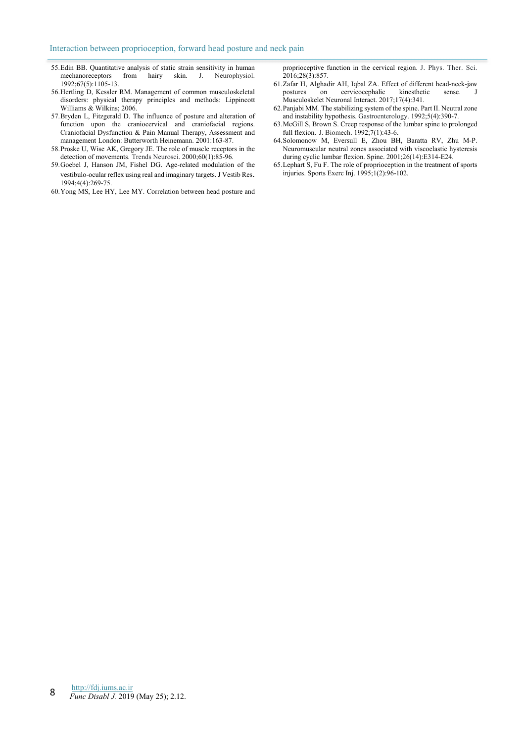- 55. Edin BB. Quantitative analysis of static strain sensitivity in human mechanoreceptors from hairy skin. J. Neurophysiol. 1992;67(5):1105-13.
- 56. Hertling D, Kessler RM. Management of common musculoskeletal disorders: physical therapy principles and methods: Lippincott Williams & Wilkins; 2006.
- 57. Bryden L, Fitzgerald D. The influence of posture and alteration of function upon the craniocervical and craniofacial regions. Craniofacial Dysfunction & Pain Manual Therapy, Assessment and management London: Butterworth Heinemann. 2001:163-87.
- 58. Proske U, Wise AK, Gregory JE. The role of muscle receptors in the detection of movements. Trends Neurosci. 2000;60(1):85-96.
- 59. Goebel J, Hanson JM, Fishel DG. Age-related modulation of the vestibulo-ocular reflex using real and imaginary targets. J Vestib Res. 1994;4(4):269-75.
- 60. Yong MS, Lee HY, Lee MY. Correlation between head posture and

proprioceptive function in the cervical region. J. Phys. Ther. Sci. 2016;28(3):857.

- 61. Zafar H, Alghadir AH, Iqbal ZA. Effect of different head-neck-jaw on cervicocephalic kinesthetic sense. J Musculoskelet Neuronal Interact. 2017;17(4):341.
- 62. Panjabi MM. The stabilizing system of the spine. Part II. Neutral zone and instability hypothesis. Gastroenterology. 1992;5(4):390-7.
- 63. McGill S, Brown S. Creep response of the lumbar spine to prolonged full flexion. J. Biomech. 1992;7(1):43-6.
- 64. Solomonow M, Eversull E, Zhou BH, Baratta RV, Zhu M-P. Neuromuscular neutral zones associated with viscoelastic hysteresis during cyclic lumbar flexion. Spine. 2001;26(14):E314-E24.
- 65. Lephart S, Fu F. The role of proprioception in the treatment of sports injuries. Sports Exerc Inj. 1995;1(2):96-102.